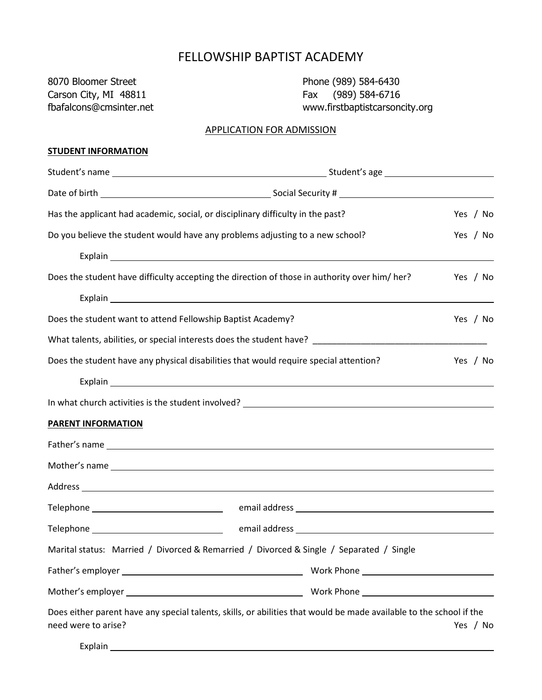## FELLOWSHIP BAPTIST ACADEMY

8070 Bloomer Street **Phone (989) 584-6430** Carson City, MI 48811 Fax (989) 584-6716

fbafalcons@cmsinter.net www.firstbaptistcarsoncity.org

#### APPLICATION FOR ADMISSION

#### **STUDENT INFORMATION**

| Has the applicant had academic, social, or disciplinary difficulty in the past?               |                                                                                                                                                                                                                                | Yes / No |
|-----------------------------------------------------------------------------------------------|--------------------------------------------------------------------------------------------------------------------------------------------------------------------------------------------------------------------------------|----------|
| Do you believe the student would have any problems adjusting to a new school?                 |                                                                                                                                                                                                                                | Yes / No |
|                                                                                               |                                                                                                                                                                                                                                |          |
| Does the student have difficulty accepting the direction of those in authority over him/ her? |                                                                                                                                                                                                                                | Yes / No |
|                                                                                               |                                                                                                                                                                                                                                |          |
| Does the student want to attend Fellowship Baptist Academy?                                   |                                                                                                                                                                                                                                | Yes / No |
|                                                                                               |                                                                                                                                                                                                                                |          |
| Does the student have any physical disabilities that would require special attention?         |                                                                                                                                                                                                                                | Yes / No |
|                                                                                               | Explain the contract of the contract of the contract of the contract of the contract of the contract of the contract of the contract of the contract of the contract of the contract of the contract of the contract of the co |          |
|                                                                                               |                                                                                                                                                                                                                                |          |
| <b>PARENT INFORMATION</b>                                                                     |                                                                                                                                                                                                                                |          |
|                                                                                               |                                                                                                                                                                                                                                |          |
|                                                                                               |                                                                                                                                                                                                                                |          |
|                                                                                               | Address and the contract of the contract of the contract of the contract of the contract of the contract of the contract of the contract of the contract of the contract of the contract of the contract of the contract of th |          |
|                                                                                               |                                                                                                                                                                                                                                |          |
|                                                                                               |                                                                                                                                                                                                                                |          |
| Marital status: Married / Divorced & Remarried / Divorced & Single / Separated / Single       |                                                                                                                                                                                                                                |          |
|                                                                                               |                                                                                                                                                                                                                                |          |
|                                                                                               |                                                                                                                                                                                                                                |          |
| need were to arise?                                                                           | Does either parent have any special talents, skills, or abilities that would be made available to the school if the                                                                                                            | Yes / No |

Explain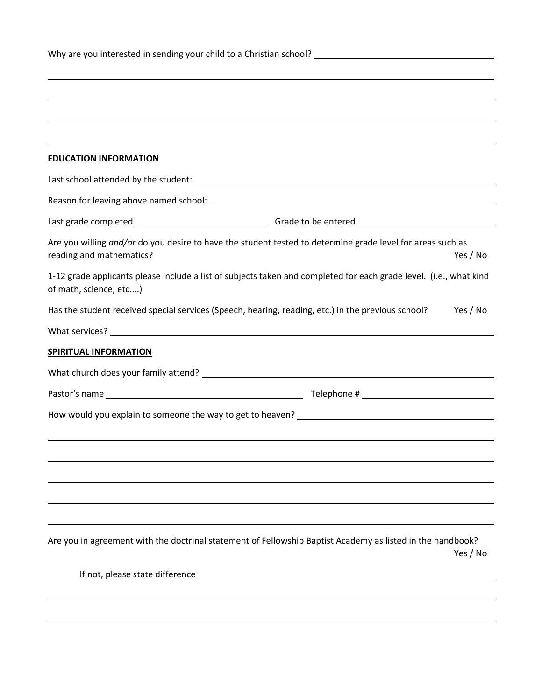| <b>EDUCATION INFORMATION</b>                                                                                                                       |  |
|----------------------------------------------------------------------------------------------------------------------------------------------------|--|
|                                                                                                                                                    |  |
|                                                                                                                                                    |  |
|                                                                                                                                                    |  |
| Are you willing and/or do you desire to have the student tested to determine grade level for areas such as<br>reading and mathematics?<br>Yes / No |  |
| 1-12 grade applicants please include a list of subjects taken and completed for each grade level. (i.e., what kind<br>of math, science, etc)       |  |
| Has the student received special services (Speech, hearing, reading, etc.) in the previous school?<br>Yes / No                                     |  |
|                                                                                                                                                    |  |
| <b>SPIRITUAL INFORMATION</b>                                                                                                                       |  |
|                                                                                                                                                    |  |
|                                                                                                                                                    |  |
|                                                                                                                                                    |  |
|                                                                                                                                                    |  |
|                                                                                                                                                    |  |
|                                                                                                                                                    |  |
|                                                                                                                                                    |  |
|                                                                                                                                                    |  |
| Are you in agreement with the doctrinal statement of Fellowship Baptist Academy as listed in the handbook?<br>Yes / No                             |  |
|                                                                                                                                                    |  |
|                                                                                                                                                    |  |
|                                                                                                                                                    |  |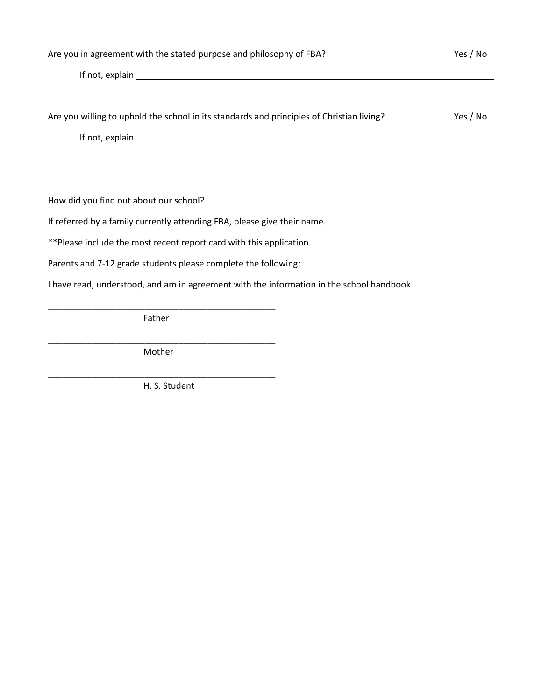| Are you in agreement with the stated purpose and philosophy of FBA? | Yes / No |
|---------------------------------------------------------------------|----------|
|---------------------------------------------------------------------|----------|

| If not, explain explain the contract of the contract of the contract of the contract of the contract of the contract of the contract of the contract of the contract of the contract of the contract of the contract of the co |          |
|--------------------------------------------------------------------------------------------------------------------------------------------------------------------------------------------------------------------------------|----------|
| Are you willing to uphold the school in its standards and principles of Christian living?                                                                                                                                      | Yes / No |
|                                                                                                                                                                                                                                |          |
|                                                                                                                                                                                                                                |          |
|                                                                                                                                                                                                                                |          |
| ** Please include the most recent report card with this application.                                                                                                                                                           |          |
| Parents and 7-12 grade students please complete the following:                                                                                                                                                                 |          |
| I have read, understood, and am in agreement with the information in the school handbook.                                                                                                                                      |          |

Father

\_\_\_\_\_\_\_\_\_\_\_\_\_\_\_\_\_\_\_\_\_\_\_\_\_\_\_\_\_\_\_\_\_\_\_\_\_\_\_\_\_\_\_\_\_\_\_ Mother

\_\_\_\_\_\_\_\_\_\_\_\_\_\_\_\_\_\_\_\_\_\_\_\_\_\_\_\_\_\_\_\_\_\_\_\_\_\_\_\_\_\_\_\_\_\_\_

H. S. Student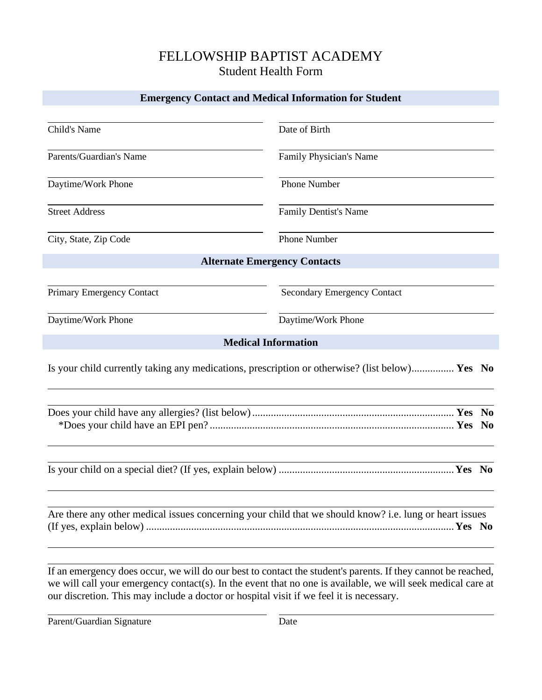## FELLOWSHIP BAPTIST ACADEMY Student Health Form

#### **Emergency Contact and Medical Information for Student**

| Child's Name                                                                                            | Date of Birth                                                                                  |
|---------------------------------------------------------------------------------------------------------|------------------------------------------------------------------------------------------------|
| Parents/Guardian's Name                                                                                 | Family Physician's Name                                                                        |
| Daytime/Work Phone                                                                                      | Phone Number                                                                                   |
| <b>Street Address</b>                                                                                   | Family Dentist's Name                                                                          |
| City, State, Zip Code                                                                                   | <b>Phone Number</b>                                                                            |
|                                                                                                         | <b>Alternate Emergency Contacts</b>                                                            |
| <b>Primary Emergency Contact</b>                                                                        | <b>Secondary Emergency Contact</b>                                                             |
| Daytime/Work Phone                                                                                      | Daytime/Work Phone                                                                             |
|                                                                                                         | <b>Medical Information</b>                                                                     |
|                                                                                                         | Is your child currently taking any medications, prescription or otherwise? (list below) Yes No |
|                                                                                                         | - No                                                                                           |
|                                                                                                         |                                                                                                |
| Are there any other medical issues concerning your child that we should know? i.e. lung or heart issues |                                                                                                |

If an emergency does occur, we will do our best to contact the student's parents. If they cannot be reached, we will call your emergency contact(s). In the event that no one is available, we will seek medical care at our discretion. This may include a doctor or hospital visit if we feel it is necessary.

Parent/Guardian Signature Date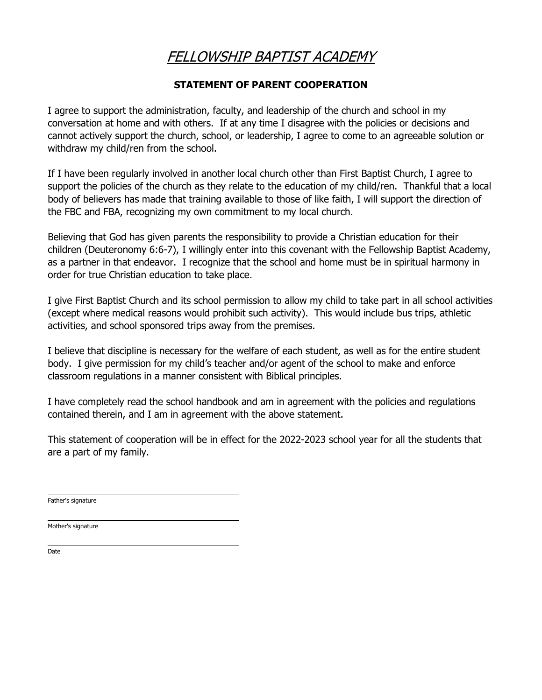# FELLOWSHIP BAPTIST ACADEMY

### **STATEMENT OF PARENT COOPERATION**

I agree to support the administration, faculty, and leadership of the church and school in my conversation at home and with others. If at any time I disagree with the policies or decisions and cannot actively support the church, school, or leadership, I agree to come to an agreeable solution or withdraw my child/ren from the school.

If I have been regularly involved in another local church other than First Baptist Church, I agree to support the policies of the church as they relate to the education of my child/ren. Thankful that a local body of believers has made that training available to those of like faith, I will support the direction of the FBC and FBA, recognizing my own commitment to my local church.

Believing that God has given parents the responsibility to provide a Christian education for their children (Deuteronomy 6:6-7), I willingly enter into this covenant with the Fellowship Baptist Academy, as a partner in that endeavor. I recognize that the school and home must be in spiritual harmony in order for true Christian education to take place.

I give First Baptist Church and its school permission to allow my child to take part in all school activities (except where medical reasons would prohibit such activity). This would include bus trips, athletic activities, and school sponsored trips away from the premises.

I believe that discipline is necessary for the welfare of each student, as well as for the entire student body. I give permission for my child's teacher and/or agent of the school to make and enforce classroom regulations in a manner consistent with Biblical principles.

I have completely read the school handbook and am in agreement with the policies and regulations contained therein, and I am in agreement with the above statement.

This statement of cooperation will be in effect for the 2022-2023 school year for all the students that are a part of my family.

Father's signature

Mother's signature

Date